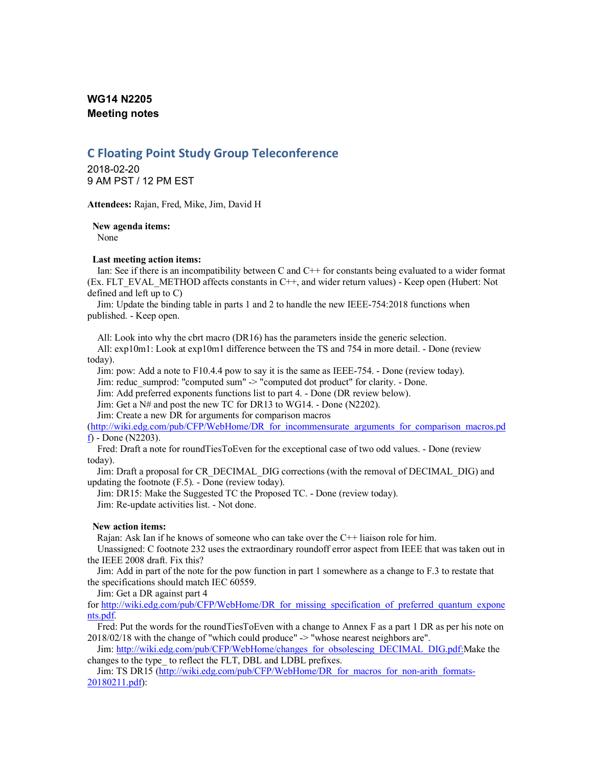# **WG14 N2205 Meeting notes**

# **C Floating Point Study Group Teleconference**

2018-02-20 9 AM PST / 12 PM EST

**Attendees:** Rajan, Fred, Mike, Jim, David H

**New agenda items:**

None

### **Last meeting action items:**

Ian: See if there is an incompatibility between C and C++ for constants being evaluated to a wider format (Ex. FLT\_EVAL\_METHOD affects constants in C++, and wider return values) - Keep open (Hubert: Not defined and left up to C)

Jim: Update the binding table in parts 1 and 2 to handle the new IEEE-754:2018 functions when published. - Keep open.

All: Look into why the cbrt macro (DR16) has the parameters inside the generic selection.

All: exp10m1: Look at exp10m1 difference between the TS and 754 in more detail. - Done (review today).

Jim: pow: Add a note to F10.4.4 pow to say it is the same as IEEE-754. - Done (review today).

Jim: reduc\_sumprod: "computed sum" -> "computed dot product" for clarity. - Done.

Jim: Add preferred exponents functions list to part 4. - Done (DR review below).

Jim: Get a N# and post the new TC for DR13 to WG14. - Done (N2202).

Jim: Create a new DR for arguments for comparison macros

(http://wiki.edg.com/pub/CFP/WebHome/DR\_for\_incommensurate\_arguments\_for\_comparison\_macros.pd f) - Done (N2203).

Fred: Draft a note for roundTiesToEven for the exceptional case of two odd values. - Done (review today).

Jim: Draft a proposal for CR\_DECIMAL\_DIG corrections (with the removal of DECIMAL\_DIG) and updating the footnote (F.5). - Done (review today).

Jim: DR15: Make the Suggested TC the Proposed TC. - Done (review today).

Jim: Re-update activities list. - Not done.

## **New action items:**

Rajan: Ask Ian if he knows of someone who can take over the C++ liaison role for him.

Unassigned: C footnote 232 uses the extraordinary roundoff error aspect from IEEE that was taken out in the IEEE 2008 draft. Fix this?

Jim: Add in part of the note for the pow function in part 1 somewhere as a change to F.3 to restate that the specifications should match IEC 60559.

Jim: Get a DR against part 4

for http://wiki.edg.com/pub/CFP/WebHome/DR\_for\_missing\_specification\_of\_preferred\_quantum\_expone nts.pdf.

Fred: Put the words for the roundTiesToEven with a change to Annex F as a part 1 DR as per his note on 2018/02/18 with the change of "which could produce" -> "whose nearest neighbors are".

Jim: http://wiki.edg.com/pub/CFP/WebHome/changes\_for\_obsolescing\_DECIMAL\_DIG.pdf:Make the changes to the type\_ to reflect the FLT, DBL and LDBL prefixes.

Jim: TS DR15 (http://wiki.edg.com/pub/CFP/WebHome/DR\_for\_macros\_for\_non-arith\_formats-20180211.pdf):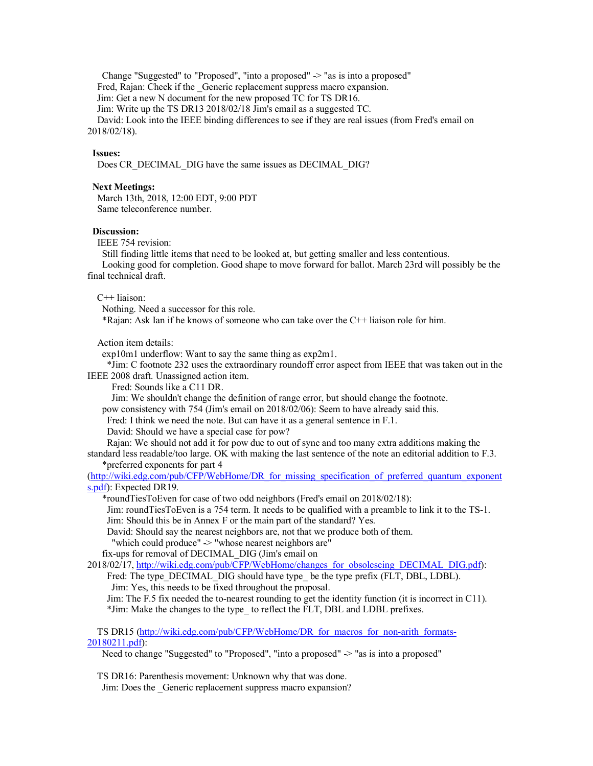Change "Suggested" to "Proposed", "into a proposed" -> "as is into a proposed" Fred, Rajan: Check if the Generic replacement suppress macro expansion. Jim: Get a new N document for the new proposed TC for TS DR16. Jim: Write up the TS DR13 2018/02/18 Jim's email as a suggested TC. David: Look into the IEEE binding differences to see if they are real issues (from Fred's email on 2018/02/18).

### **Issues:**

Does CR\_DECIMAL\_DIG have the same issues as DECIMAL\_DIG?

## **Next Meetings:**

March 13th, 2018, 12:00 EDT, 9:00 PDT Same teleconference number.

#### **Discussion:**

IEEE 754 revision:

Still finding little items that need to be looked at, but getting smaller and less contentious. Looking good for completion. Good shape to move forward for ballot. March 23rd will possibly be the final technical draft.

#### C++ liaison:

Nothing. Need a successor for this role.

\*Rajan: Ask Ian if he knows of someone who can take over the C++ liaison role for him.

Action item details:

exp10m1 underflow: Want to say the same thing as exp2m1.

\*Jim: C footnote 232 uses the extraordinary roundoff error aspect from IEEE that was taken out in the IEEE 2008 draft. Unassigned action item.

Fred: Sounds like a C11 DR.

Jim: We shouldn't change the definition of range error, but should change the footnote.

pow consistency with 754 (Jim's email on 2018/02/06): Seem to have already said this.

Fred: I think we need the note. But can have it as a general sentence in F.1.

David: Should we have a special case for pow?

Rajan: We should not add it for pow due to out of sync and too many extra additions making the standard less readable/too large. OK with making the last sentence of the note an editorial addition to F.3.

\*preferred exponents for part 4

(http://wiki.edg.com/pub/CFP/WebHome/DR\_for\_missing\_specification\_of\_preferred\_quantum\_exponent s.pdf): Expected DR19.

\*roundTiesToEven for case of two odd neighbors (Fred's email on 2018/02/18):

Jim: roundTiesToEven is a 754 term. It needs to be qualified with a preamble to link it to the TS-1. Jim: Should this be in Annex F or the main part of the standard? Yes.

David: Should say the nearest neighbors are, not that we produce both of them.

"which could produce" -> "whose nearest neighbors are"

fix-ups for removal of DECIMAL\_DIG (Jim's email on

2018/02/17, http://wiki.edg.com/pub/CFP/WebHome/changes\_for\_obsolescing\_DECIMAL\_DIG.pdf): Fred: The type\_DECIMAL\_DIG should have type\_ be the type prefix (FLT, DBL, LDBL).

Jim: Yes, this needs to be fixed throughout the proposal.

Jim: The F.5 fix needed the to-nearest rounding to get the identity function (it is incorrect in C11). \*Jim: Make the changes to the type\_ to reflect the FLT, DBL and LDBL prefixes.

TS DR15 (http://wiki.edg.com/pub/CFP/WebHome/DR\_for\_macros\_for\_non-arith\_formats-20180211.pdf):

Need to change "Suggested" to "Proposed", "into a proposed"  $>$  "as is into a proposed"

TS DR16: Parenthesis movement: Unknown why that was done. Jim: Does the Generic replacement suppress macro expansion?